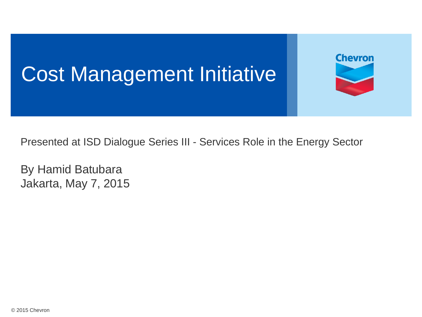## Cost Management Initiative

Presented at ISD Dialogue Series III - Services Role in the Energy Sector

**Chevron** 

By Hamid Batubara Jakarta, May 7, 2015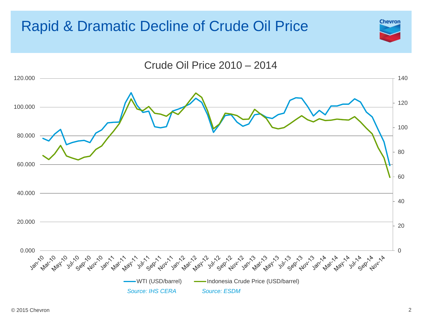#### Rapid & Dramatic Decline of Crude Oil Price



**Chevron**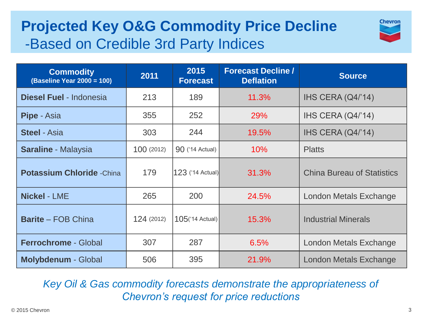### **Projected Key O&G Commodity Price Decline**  -Based on Credible 3rd Party Indices



| <b>Commodity</b><br>(Baseline Year 2000 = 100) | 2011       | 2015<br><b>Forecast</b> | <b>Forecast Decline /</b><br><b>Deflation</b> | <b>Source</b>                     |
|------------------------------------------------|------------|-------------------------|-----------------------------------------------|-----------------------------------|
| <b>Diesel Fuel - Indonesia</b>                 | 213        | 189                     | 11.3%                                         | IHS CERA (Q4/'14)                 |
| <b>Pipe</b> - Asia                             | 355        | 252                     | 29%                                           | IHS CERA (Q4/'14)                 |
| <b>Steel - Asia</b>                            | 303        | 244                     | 19.5%                                         | IHS CERA (Q4/'14)                 |
| <b>Saraline - Malaysia</b>                     | 100 (2012) | <b>90</b> ('14 Actual)  | 10%                                           | <b>Platts</b>                     |
| <b>Potassium Chloride -China</b>               | 179        | <b>123</b> ('14 Actual) | 31.3%                                         | <b>China Bureau of Statistics</b> |
| <b>Nickel - LME</b>                            | 265        | 200                     | 24.5%                                         | London Metals Exchange            |
| <b>Barite - FOB China</b>                      | 124 (2012) | $105$ ('14 Actual)      | 15.3%                                         | <b>Industrial Minerals</b>        |
| <b>Ferrochrome - Global</b>                    | 307        | 287                     | 6.5%                                          | <b>London Metals Exchange</b>     |
| <b>Molybdenum - Global</b>                     | 506        | 395                     | 21.9%                                         | <b>London Metals Exchange</b>     |

*Key Oil & Gas commodity forecasts demonstrate the appropriateness of Chevron's request for price reductions*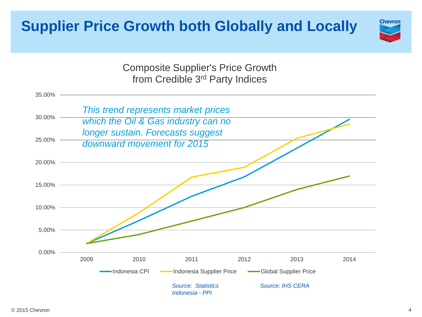#### **Supplier Price Growth both Globally and Locally**



Composite Supplier's Price Growth from Credible 3rd Party Indices

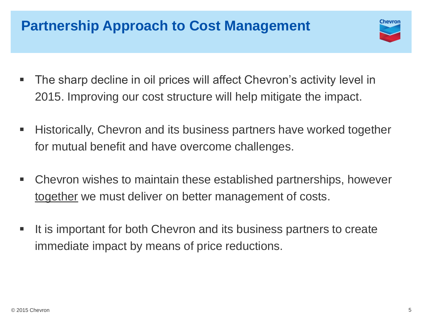#### **Partnership Approach to Cost Management**

- Chevror
- The sharp decline in oil prices will affect Chevron's activity level in 2015. Improving our cost structure will help mitigate the impact.
- **Historically, Chevron and its business partners have worked together** for mutual benefit and have overcome challenges.
- Chevron wishes to maintain these established partnerships, however together we must deliver on better management of costs.
- It is important for both Chevron and its business partners to create immediate impact by means of price reductions.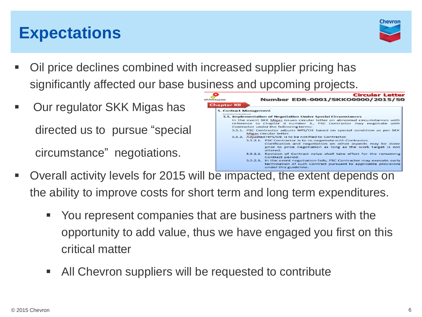## **Expectations**



- Oil price declines combined with increased supplier pricing has significantly affected our base business and upcoming projects.
- Our regulator SKK Migas has directed us to pursue "special circumstance" negotiations.



- Overall activity levels for 2015 will be impacted, the extent depends on the ability to improve costs for short term and long term expenditures.
	- You represent companies that are business partners with the opportunity to add value, thus we have engaged you first on this critical matter
	- All Chevron suppliers will be requested to contribute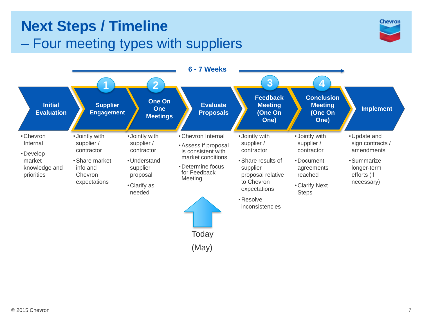#### **Next Steps / Timeline** – Four meeting types with suppliers



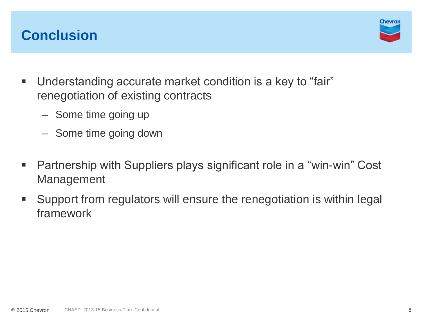#### **Conclusion**



- Understanding accurate market condition is a key to "fair" renegotiation of existing contracts
	- Some time going up
	- Some time going down
- Partnership with Suppliers plays significant role in a "win-win" Cost Management
- Support from regulators will ensure the renegotiation is within legal framework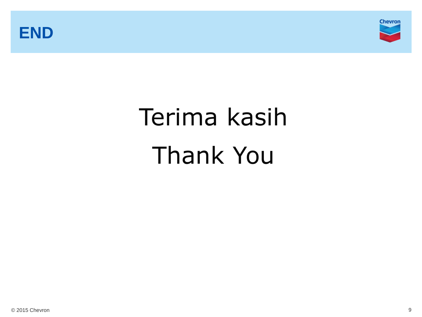



# Terima kasih Thank You